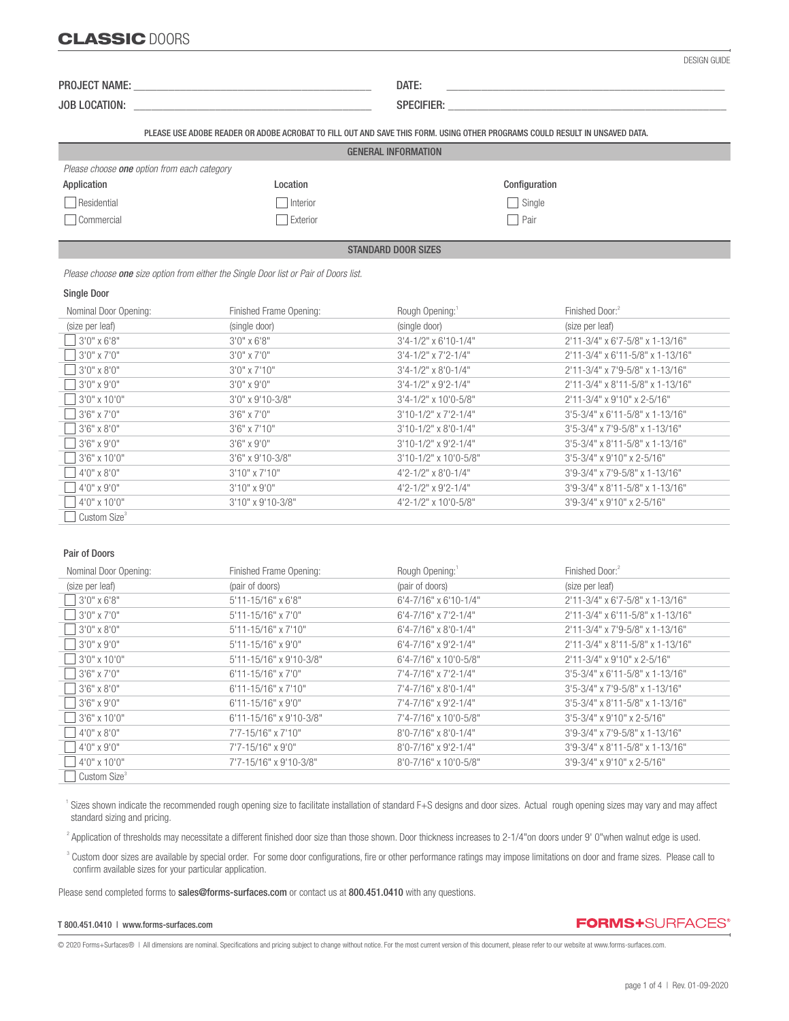## CLASSIC DOORS

| DESIGN GUIDE |  |
|--------------|--|

JOB LOCATION: \_\_\_\_\_\_\_\_\_\_\_\_\_\_\_\_\_\_\_\_\_\_\_\_\_\_\_\_\_\_\_\_\_\_\_\_\_\_\_\_\_ SPECIFIER: \_\_\_\_\_\_\_\_\_\_\_\_\_\_\_\_\_\_\_\_\_\_\_\_\_\_\_\_\_\_\_\_\_\_\_\_\_\_\_\_\_\_\_\_\_\_\_\_

PLEASE USE ADOBE READER OR ADOBE ACROBAT TO FILL OUT AND SAVE THIS FORM. USING OTHER PROGRAMS COULD RESULT IN UNSAVED DATA.

| <b>GENERAL INFORMATION</b> |
|----------------------------|
|                            |

| Please choose <b>one</b> option from each category |          |               |  |  |  |
|----------------------------------------------------|----------|---------------|--|--|--|
| Application                                        | Location | Configuration |  |  |  |
| Residential                                        | Interior | Single        |  |  |  |
| Commercial                                         | Exterior | Pair          |  |  |  |

STANDARD DOOR SIZES

 *Please choose one size option from either the Single Door list or Pair of Doors list.*

### Single Door

֦

| Nominal Door Opening:    | Finished Frame Opening: | Rough Opening:                   | Finished Door: <sup>2</sup>        |
|--------------------------|-------------------------|----------------------------------|------------------------------------|
| (size per leaf)          | (single door)           | (single door)                    | (size per leaf)                    |
| $3'0''$ x 6'8"           | $3'0''$ x 6'8"          | $3'4 - 1/2''$ x 6'10-1/4"        | $2'11-3/4"$ x 6'7-5/8" x 1-13/16"  |
| $3'0''$ x 7'0"           | $3'0''$ x 7'0"          | $3'4 - 1/2''$ x $7'2 - 1/4''$    | 2'11-3/4" x 6'11-5/8" x 1-13/16"   |
| $3'0'' \times 8'0''$     | $3'0''$ x $7'10''$      | $3'4 - 1/2'' \times 8'0 - 1/4''$ | 2'11-3/4" x 7'9-5/8" x 1-13/16"    |
| $3'0'' \times 9'0''$     | $3'0''$ x 9'0"          | $3'4 - 1/2''$ x 9'2-1/4"         | 2'11-3/4" x 8'11-5/8" x 1-13/16"   |
| $13'0''$ x 10'0"         | 3'0" x 9'10-3/8"        | $3'4 - 1/2''$ x 10'0-5/8"        | 2'11-3/4" x 9'10" x 2-5/16"        |
| $3'6'' \times 7'0''$     | $3'6''$ x $7'0''$       | $3'10-1/2"$ x $7'2-1/4"$         | $3'5-3/4''$ x 6'11-5/8" x 1-13/16" |
| $3'6'' \times 8'0''$     | $3'6''$ x $7'10''$      | $3'10-1/2"$ x 8'0-1/4"           | 3'5-3/4" x 7'9-5/8" x 1-13/16"     |
| $3'6'' \times 9'0''$     | $3'6'' \times 9'0''$    | 3'10-1/2" x 9'2-1/4"             | 3'5-3/4" x 8'11-5/8" x 1-13/16"    |
| $3'6'' \times 10'0''$    | 3'6" x 9'10-3/8"        | $3'10-1/2"$ x 10'0-5/8"          | $3'5 - 3/4''$ x 9'10" x 2-5/16"    |
| $4'0''$ x 8'0"           | $3'10''$ x $7'10''$     | $4'2 - 1/2'' \times 8'0 - 1/4''$ | 3'9-3/4" x 7'9-5/8" x 1-13/16"     |
| $14'0''$ x 9'0"          | $3'10''$ x 9'0"         | $4'2 - 1/2''$ x 9'2-1/4"         | 3'9-3/4" x 8'11-5/8" x 1-13/16"    |
| $14'0''$ x 10'0"         | 3'10" x 9'10-3/8"       | 4'2-1/2" x 10'0-5/8"             | 3'9-3/4" x 9'10" x 2-5/16"         |
| Custom Size <sup>3</sup> |                         |                                  |                                    |

### Pair of Doors

| Nominal Door Opening:    | Finished Frame Opening:     | Rough Opening:                 | Finished Door: <sup>2</sup>         |
|--------------------------|-----------------------------|--------------------------------|-------------------------------------|
| (size per leaf)          | (pair of doors)             | (pair of doors)                | (size per leaf)                     |
| $3'0''$ x 6'8"           | $5'11 - 15/16''$ x 6'8"     | 6'4-7/16" x 6'10-1/4"          | 2'11-3/4" x 6'7-5/8" x 1-13/16"     |
| $3'0''$ x 7'0"           | $5'11 - 15/16''$ x $7'0''$  | $6'4 - 7/16''$ x $7'2 - 1/4''$ | $2'11-3/4"$ x 6'11-5/8" x 1-13/16"  |
| $3'0''$ x 8'0"           | $5'11 - 15/16''$ x $7'10''$ | $6'4 - 7/16''$ x 8'0-1/4"      | 2'11-3/4" x 7'9-5/8" x 1-13/16"     |
| $13'0''$ x 9'0"          | $5'11 - 15/16''$ x 9'0"     | $6'4 - 7/16''$ x 9'2-1/4"      | 2'11-3/4" x 8'11-5/8" x 1-13/16"    |
| $3'0''$ x 10'0"          | 5'11-15/16" x 9'10-3/8"     | $6'4 - 7/16''$ x 10'0-5/8"     | 2'11-3/4" x 9'10" x 2-5/16"         |
| $3'6'' \times 7'0''$     | $6'11 - 15/16''$ x 7'0"     | 7'4-7/16" x 7'2-1/4"           | $3'5-3/4''$ x 6'11-5/8" x 1-13/16"  |
| $3'6'' \times 8'0''$     | $6'11 - 15/16''$ x 7'10"    | 7'4-7/16" x 8'0-1/4"           | $3'5 - 3/4''$ x 7'9-5/8" x 1-13/16" |
| $3'6''$ x 9'0"           | $6'11 - 15/16''$ x 9'0"     | 7'4-7/16" x 9'2-1/4"           | 3'5-3/4" x 8'11-5/8" x 1-13/16"     |
| $13'6''$ x 10'0"         | 6'11-15/16" x 9'10-3/8"     | 7'4-7/16" x 10'0-5/8"          | 3'5-3/4" x 9'10" x 2-5/16"          |
| $4'0''$ x 8'0"           | 7'7-15/16" x 7'10"          | $8'0 - 7/16''$ x $8'0 - 1/4''$ | 3'9-3/4" x 7'9-5/8" x 1-13/16"      |
| 4'0" x 9'0"              | 7'7-15/16" x 9'0"           | $8'0 - 7/16''$ x 9'2-1/4"      | 3'9-3/4" x 8'11-5/8" x 1-13/16"     |
| $14'0''$ x 10'0"         | 7'7-15/16" x 9'10-3/8"      | 8'0-7/16" x 10'0-5/8"          | 3'9-3/4" x 9'10" x 2-5/16"          |
| Custom Size <sup>3</sup> |                             |                                |                                     |

<sup>1</sup> Sizes shown indicate the recommended rough opening size to facilitate installation of standard F+S designs and door sizes. Actual rough opening sizes may vary and may affect standard sizing and pricing.

 $^2$  Application of thresholds may necessitate a different finished door size than those shown. Door thickness increases to 2-1/4"on doors under 9' 0"when walnut edge is used.

<sup>3</sup> Custom door sizes are available by special order. For some door configurations, fire or other performance ratings may impose limitations on door and frame sizes. Please call to confirm available sizes for your particular application.

Please send completed forms to sales@forms-surfaces.com or contact us at 800.451.0410 with any questions.

#### T 800.451.0410 | www.forms-surfaces.com

**FORMS+**SURFACES®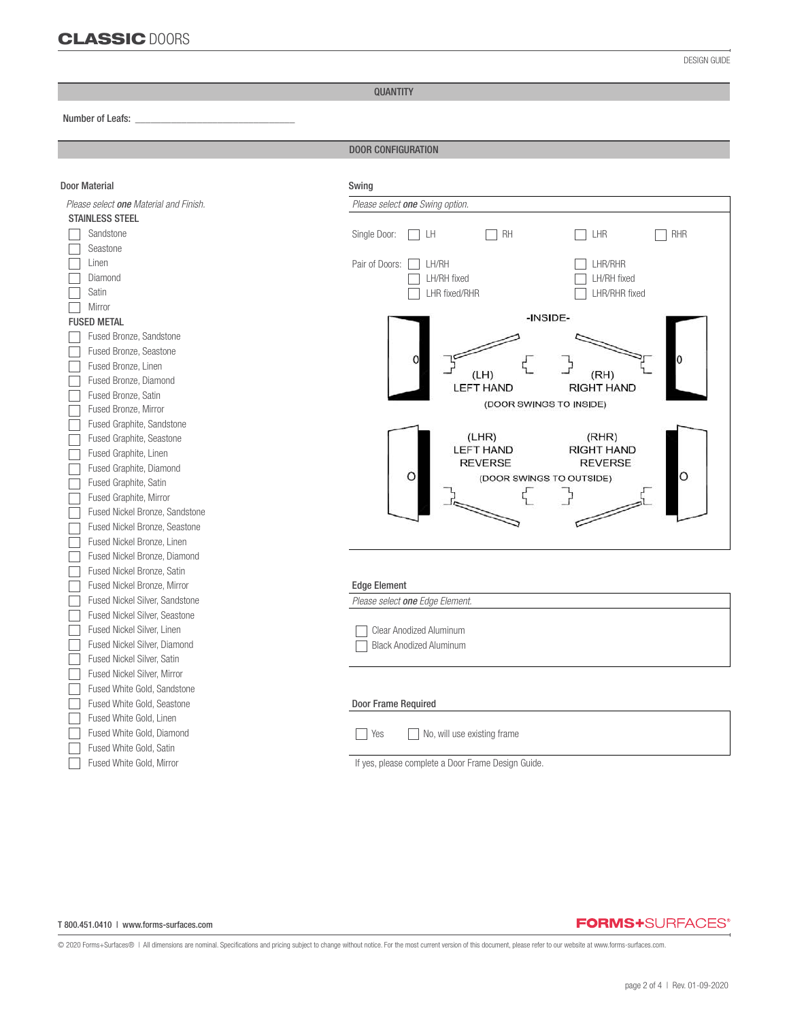QUANTITY

Number of Leafs: *\_\_\_\_\_\_\_\_\_\_\_\_\_\_\_\_\_\_\_\_\_\_\_\_\_\_\_\_\_\_\_*

֦

DOOR CONFIGURATION

| <b>Door Material</b>                   | Swing                                                   |  |  |  |
|----------------------------------------|---------------------------------------------------------|--|--|--|
| Please select one Material and Finish. | Please select one Swing option.                         |  |  |  |
| <b>STAINLESS STEEL</b>                 |                                                         |  |  |  |
| Sandstone                              | Single Door:<br>RH<br>LHR<br>RHR<br>I LH                |  |  |  |
| Seastone                               |                                                         |  |  |  |
| Linen                                  | Pair of Doors:<br>LH/RH<br>LHR/RHR                      |  |  |  |
| Diamond                                | LH/RH fixed<br>LH/RH fixed                              |  |  |  |
| Satin                                  | LHR/RHR fixed<br>LHR fixed/RHR                          |  |  |  |
| Mirror                                 |                                                         |  |  |  |
| <b>FUSED METAL</b>                     | -INSIDE-                                                |  |  |  |
| Fused Bronze, Sandstone                |                                                         |  |  |  |
| Fused Bronze, Seastone                 |                                                         |  |  |  |
| Fused Bronze, Linen                    | (RH)<br>(LH)                                            |  |  |  |
| Fused Bronze, Diamond                  | <b>LEFT HAND</b><br><b>RIGHT HAND</b>                   |  |  |  |
| Fused Bronze, Satin                    | (DOOR SWINGS TO INSIDE)                                 |  |  |  |
| Fused Bronze, Mirror                   |                                                         |  |  |  |
| Fused Graphite, Sandstone              |                                                         |  |  |  |
| Fused Graphite, Seastone               | (LHR)<br>(RHR)<br><b>LEFT HAND</b><br><b>RIGHT HAND</b> |  |  |  |
| Fused Graphite, Linen                  | <b>REVERSE</b><br><b>REVERSE</b>                        |  |  |  |
| Fused Graphite, Diamond                | O<br>$\circ$<br>(DOOR SWINGS TO OUTSIDE)                |  |  |  |
| Fused Graphite, Satin                  |                                                         |  |  |  |
| Fused Graphite, Mirror                 |                                                         |  |  |  |
| Fused Nickel Bronze, Sandstone         |                                                         |  |  |  |
| Fused Nickel Bronze, Seastone          |                                                         |  |  |  |
| Fused Nickel Bronze, Linen             |                                                         |  |  |  |
| Fused Nickel Bronze, Diamond           |                                                         |  |  |  |
| Fused Nickel Bronze, Satin             |                                                         |  |  |  |
| Fused Nickel Bronze, Mirror            | <b>Edge Element</b>                                     |  |  |  |
| Fused Nickel Silver, Sandstone         | Please select one Edge Element.                         |  |  |  |
| <b>Fused Nickel Silver, Seastone</b>   |                                                         |  |  |  |
| Fused Nickel Silver, Linen             | <b>Clear Anodized Aluminum</b>                          |  |  |  |
| Fused Nickel Silver, Diamond           | <b>Black Anodized Aluminum</b>                          |  |  |  |
| Fused Nickel Silver, Satin             |                                                         |  |  |  |
| Fused Nickel Silver, Mirror            |                                                         |  |  |  |
| Fused White Gold, Sandstone            |                                                         |  |  |  |
| Fused White Gold, Seastone             | Door Frame Required                                     |  |  |  |
| Fused White Gold, Linen                |                                                         |  |  |  |
| Fused White Gold, Diamond              | Yes<br>No, will use existing frame                      |  |  |  |
| Fused White Gold, Satin                |                                                         |  |  |  |
| Fused White Gold, Mirror               | If yes, please complete a Door Frame Design Guide.      |  |  |  |

T 800.451.0410 | www.forms-surfaces.com

## **FORMS+**SURFACES®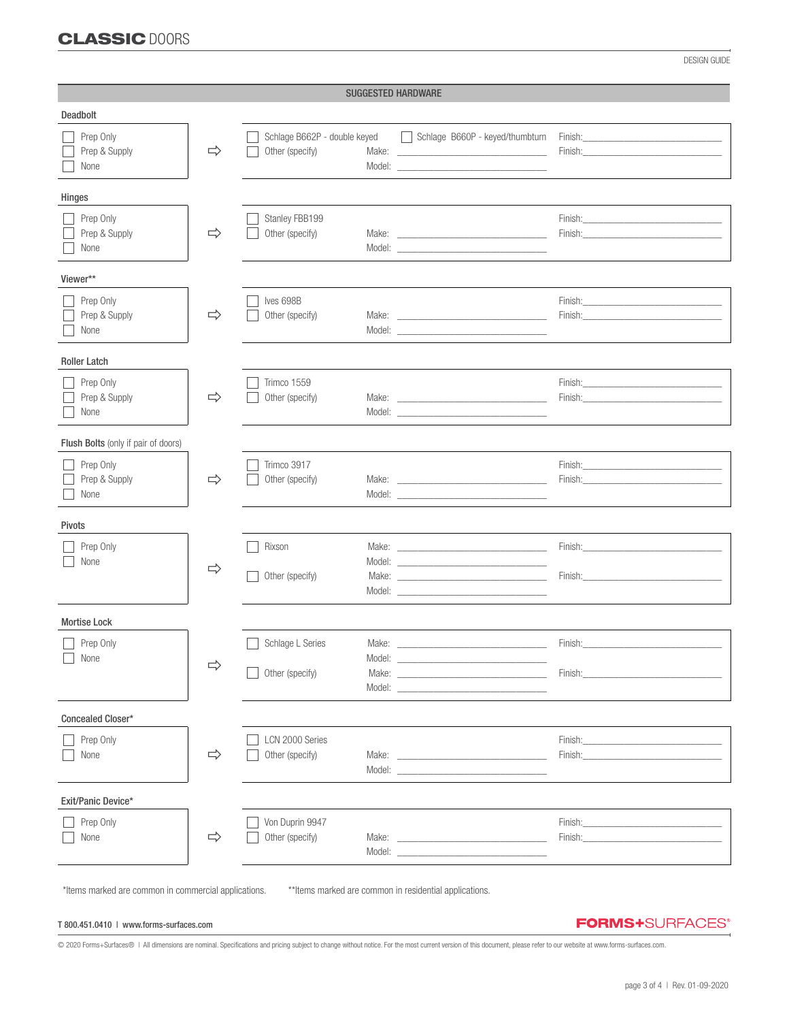# CLASSIC DOORS

DESIGN GUIDE

| <b>SUGGESTED HARDWARE</b>           |               |                                                 |                           |                                                                                                                                                                                                                                                        |                                                                                                                                                                                                                                                                                                                                                                                                                                                                  |
|-------------------------------------|---------------|-------------------------------------------------|---------------------------|--------------------------------------------------------------------------------------------------------------------------------------------------------------------------------------------------------------------------------------------------------|------------------------------------------------------------------------------------------------------------------------------------------------------------------------------------------------------------------------------------------------------------------------------------------------------------------------------------------------------------------------------------------------------------------------------------------------------------------|
| Deadbolt                            |               |                                                 |                           |                                                                                                                                                                                                                                                        |                                                                                                                                                                                                                                                                                                                                                                                                                                                                  |
| Prep Only<br>Prep & Supply<br>None  | $\Rightarrow$ | Schlage B662P - double keyed<br>Other (specify) |                           | Schlage B660P - keyed/thumbturn                                                                                                                                                                                                                        | Finish: Enish: Enish and The Property of the Contract of the Contract of the Contract of the Contract of the Contract of the Contract of the Contract of the Contract of the Contract of the Contract of the Contract of the C<br>Finish: The Company of the Company of the Company of the Company of the Company of the Company of the Company of the Company of the Company of the Company of the Company of the Company of the Company of the Company of the  |
| Hinges                              |               |                                                 |                           |                                                                                                                                                                                                                                                        |                                                                                                                                                                                                                                                                                                                                                                                                                                                                  |
| Prep Only<br>Prep & Supply<br>None  | $\Rightarrow$ | Stanley FBB199<br>Other (specify)               |                           | Make: The contract of the contract of the contract of the contract of the contract of the contract of the contract of the contract of the contract of the contract of the contract of the contract of the contract of the cont<br>Model:               | Finish: The contract of the contract of the contract of the contract of the contract of the contract of the contract of the contract of the contract of the contract of the contract of the contract of the contract of the co<br>Finish: Environmental and the contract of the contract of the contract of the contract of the contract of the contract of the contract of the contract of the contract of the contract of the contract of the contract of the  |
| Viewer**                            |               |                                                 |                           |                                                                                                                                                                                                                                                        |                                                                                                                                                                                                                                                                                                                                                                                                                                                                  |
| Prep Only<br>Prep & Supply<br>None  | $\Rightarrow$ | Ives 698B<br>Other (specify)                    |                           | Model: New York and the state of the state of the state of the state of the state of the state of the state of the state of the state of the state of the state of the state of the state of the state of the state of the sta                         | Finish: Enish and the state of the state of the state of the state of the state of the state of the state of the state of the state of the state of the state of the state of the state of the state of the state of the state<br>Finish: Enterprise of the state of the state of the state of the state of the state of the state of the state of the state of the state of the state of the state of the state of the state of the state of the state of the s |
| <b>Roller Latch</b>                 |               |                                                 |                           |                                                                                                                                                                                                                                                        |                                                                                                                                                                                                                                                                                                                                                                                                                                                                  |
| Prep Only<br>Prep & Supply<br>None  | $\Rightarrow$ | Trimco 1559<br>Other (specify)                  |                           | Make: The contract of the contract of the contract of the contract of the contract of the contract of the contract of the contract of the contract of the contract of the contract of the contract of the contract of the cont                         | Finish:                                                                                                                                                                                                                                                                                                                                                                                                                                                          |
| Flush Bolts (only if pair of doors) |               |                                                 |                           |                                                                                                                                                                                                                                                        |                                                                                                                                                                                                                                                                                                                                                                                                                                                                  |
| Prep Only<br>Prep & Supply<br>None  | $\Rightarrow$ | Trimco 3917<br>Other (specify)                  |                           | Model: New York Products and the Contract of the Contract of the Contract of the Contract of the Contract of the Contract of the Contract of the Contract of the Contract of the Contract of the Contract of the Contract of t                         | Finish: Enterprise of the state of the state of the state of the state of the state of the state of the state of the state of the state of the state of the state of the state of the state of the state of the state of the s                                                                                                                                                                                                                                   |
| Pivots                              |               |                                                 |                           |                                                                                                                                                                                                                                                        |                                                                                                                                                                                                                                                                                                                                                                                                                                                                  |
| Prep Only<br>None                   | $\Rightarrow$ | Rixson<br>Other (specify)                       |                           | Model: New York and the state of the state of the state of the state of the state of the state of the state of the state of the state of the state of the state of the state of the state of the state of the state of the sta                         | Finish: Enterprise of the contract of the contract of the contract of the contract of the contract of the contract of the contract of the contract of the contract of the contract of the contract of the contract of the cont<br>Finish: Enterprise of the state of the state of the state of the state of the state of the state of the state of the state of the state of the state of the state of the state of the state of the state of the state of the s |
| <b>Mortise Lock</b>                 |               |                                                 |                           |                                                                                                                                                                                                                                                        |                                                                                                                                                                                                                                                                                                                                                                                                                                                                  |
| Prep Only<br>$\Box$ None            | $\Rightarrow$ | Schlage L Series<br>Other (specify)             | Make:<br>Model:<br>Model: |                                                                                                                                                                                                                                                        | Finish:<br>Finish:                                                                                                                                                                                                                                                                                                                                                                                                                                               |
| Concealed Closer*                   |               |                                                 |                           |                                                                                                                                                                                                                                                        |                                                                                                                                                                                                                                                                                                                                                                                                                                                                  |
| Prep Only<br>None                   | $\Rightarrow$ | LCN 2000 Series<br>Other (specify)              |                           | Model: New York and the Commission of the Commission of the Commission of the Commission of the Commission of the Commission of the Commission of the Commission of the Commission of the Commission of the Commission of the                          | Finish: The Company of the Company of the Company of the Company of the Company of the Company of the Company of the Company of the Company of the Company of the Company of the Company of the Company of the Company of the<br>Finish: The contract of the contract of the contract of the contract of the contract of the contract of the contract of the contract of the contract of the contract of the contract of the contract of the contract of the co  |
| Exit/Panic Device*                  |               |                                                 |                           |                                                                                                                                                                                                                                                        |                                                                                                                                                                                                                                                                                                                                                                                                                                                                  |
| Prep Only<br>None                   | $\Rightarrow$ | Von Duprin 9947<br>Other (specify)              |                           | Make: <u>example</u><br>Model: New York Products and the Contract of the Contract of the Contract of the Contract of the Contract of the Contract of the Contract of the Contract of the Contract of the Contract of the Contract of the Contract of t | Finish:<br>Finish:                                                                                                                                                                                                                                                                                                                                                                                                                                               |

\*Items marked are common in commercial applications. \*\*Items marked are common in residential applications.

#### T 800.451.0410 | www.forms-surfaces.com

**FORMS+**SURFACES®